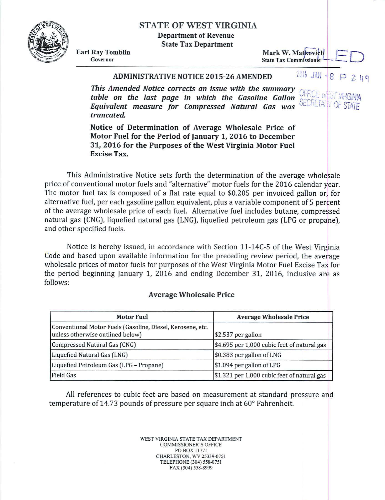# STATE OF WEST VIRGINIA

Department of Revenue

State Tax Department

Mark W. Matkovich State Tax Commissioner

#### Earl Ray Tomblin Governor

# **ADMINISTRATIVE NOTICE 2015-26 AMENDED** 2016 JAN - 8

This Amended Notice corrects an issue with the summary *table on the last page in which the Gasoline Gallon* SECRETARY OF *Equivalent measure for Compressed Natural Gas was truncated.* 

Notice of Determination of Average Wholesale Price of Motor Fuel for the Period of January 1, 2016 to December 31, 2016 for the Purposes of the West Virginia Motor Fuel Excise Tax.

This Administrative Notice sets forth the determination of the average wholesale price of conventional motor fuels and "alternative" motor fuels for the 2016 calendar year. The motor fuel tax is composed of a flat rate equal to \$0.205 per invoiced gallon or, for alternative fuel, per each gasoline gallon equivalent, plus a variable component of 5 percent of the average wholesale price of each fuel. Alternative fuel includes butane, compressed natural gas (CNG), liquefied natural gas (LNG), liquefied petroleum gas (LPG or propane). and other specified fuels.

Notice is hereby issued, in accordance with Section 11-14C-S of the West Virginia Code and based upon available information for the preceding review period, the average wholesale prices of motor fuels for purposes of the West Virginia Motor Fuel Excise Tax for the period beginning January 1, 2016 and ending December 31, 2016, inclusive are as follows:

#### Average Wholesale Price

| <b>Motor Fuel</b>                                                                              | <b>Average Wholesale Price</b>              |  |  |  |
|------------------------------------------------------------------------------------------------|---------------------------------------------|--|--|--|
| Conventional Motor Fuels (Gasoline, Diesel, Kerosene, etc.<br>unless otherwise outlined below) | $$2.537$ per gallon                         |  |  |  |
| Compressed Natural Gas (CNG)                                                                   | \$4.695 per 1,000 cubic feet of natural gas |  |  |  |
| Liquefied Natural Gas (LNG)                                                                    | \$0.383 per gallon of LNG                   |  |  |  |
| Liquefied Petroleum Gas (LPG - Propane)                                                        | \$1.094 per gallon of LPG                   |  |  |  |
| <b>Field Gas</b>                                                                               | \$1.321 per 1,000 cubic feet of natural gas |  |  |  |

All references to cubic feet are based on measurement at standard pressure and temperature of 14.73 pounds of pressure per square inch at 60° Fahrenheit.

> WEST VIRGINIA STATE TAX DEPARTMENT COMMISSIONER'S OFFICE PO BOX 11771 CHARLESTON, WV 25339-075 1 TELEPHONE (304) 558-075 1 FAX (304) 558-8999

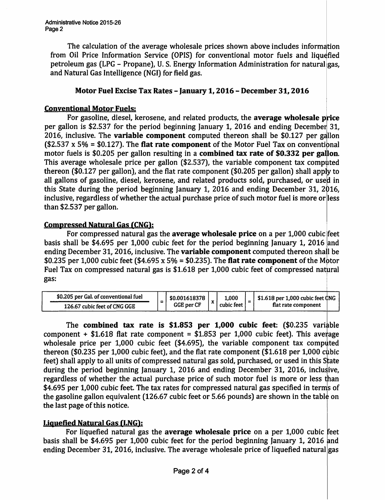The calculation of the average wholesale prices shown above includes information from Oil Price Information Service (OPIS) for conventional motor fuels and liquefied petroleum gas (LPG - Propane), U.S. Energy Information Administration for natural gas, and Natural Gas Intelligence (NGI) for field gas.

## Motor Fuel Excise Tax Rates - January 1, 2016 - December 31, 2016

#### Conventional Motor Fuels:

For gasoline, diesel, kerosene, and related products, the average wholesale price per gallon is \$2.537 for the period beginning January 1, 2016 and ending December 31, 2016, inclusive. The variable component computed thereon shall be  $$0.127$  per gallon  $$2.537 \times 5\% = $0.127$ . The flat rate component of the Motor Fuel Tax on conventional motor fuels is  $$0.205$  per gallon resulting in a **combined tax rate of \$0.332 per gallon**. This average wholesale price per gallon  $$2.537$ ), the variable component tax computed thereon (\$0.127 per gallon), and the flat rate component (\$0.205 per gallon) shall apply to all gallons of gasoline, diesel, kerosene, and related products sold, purchased, or used in this State during the period beginning January 1, 2016 and ending December 31, 2016, inclusive, regardless of whether the actual purchase price of such motor fuel is more or less than \$2.537 per gallon.

## Compressed Natural Gas (CNG):

For compressed natural gas the average wholesale price on a per 1,000 cubic feet basis shall be \$4.695 per 1,000 cubic feet for the period beginning January 1, 2016 and ending December 31, 2016, inclusive. The **variable component** computed thereon shall be \$0.235 per 1,000 cubic feet (\$4.695 x 5% = \$0.235). The flat rate component of the Motor Fuel Tax on compressed natural gas is \$1.618 per 1,000 cubic feet of compressed natural gas:

| \$0.205 per Gal. of conventional fuel | \$0.001618378     |  | 1,000<br>cubic feet <sub>1</sub> | $$1.618$ per 1.000 cubic feet CNG |
|---------------------------------------|-------------------|--|----------------------------------|-----------------------------------|
| 126.67 cubic feet of CNG GGE          | <b>GGE per CF</b> |  |                                  | flat rate component               |

The combined tax rate is  $$1.853$  per 1,000 cubic feet:  $$0.235$  variable component + \$1.618 flat rate component = \$1.853 per 1,000 cubic feet). This average wholesale price per  $1,000$  cubic feet (\$4.695), the variable component tax computed thereon (\$0.235 per 1,000 cubic feet), and the flat rate component (\$1.618 per 1,000 cubic feet) shall apply to all units of compressed natural gas sold, purchased, or used in this State during the period beginning January 1, 2016 and ending December 31, 2016, inclusive, regardless of whether the actual purchase price of such motor fuel is more or less than \$4.695 per 1,000 cubic feet. The tax rates for compressed natural gas specified in terms of the gasoline gallon equivalent (126.67 cubic feet or 5.66 pounds) are shown in the table on the last page of this notice.

## Liquefied Natural Gas (LNG):

For liquefied natural gas the average wholesale price on a per 1,000 cubic feet basis shall be \$4.695 per 1,000 cubic feet for the period beginning January 1, 2016 and ending December 31, 2016, inclusive. The average wholesale price of liquefied natural gas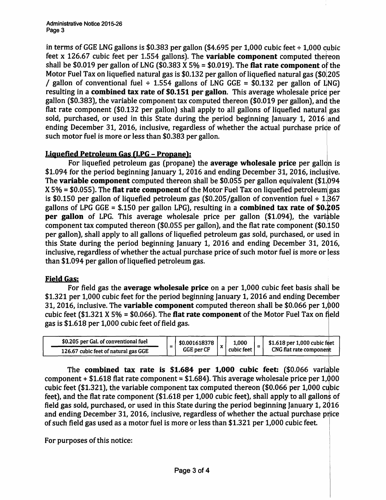in terms of GGE LNG gallons is \$0.383 per gallon (\$4.695 per 1,000 cubic feet  $\div$  1,000 cubic feet x 126.67 cubic feet per 1.554 gallons). The **variable component** computed thereon shall be \$0.019 per gallon of LNG (\$0.383 X 5% = \$0.019). The flat rate component of the Motor Fuel Tax on liquefied natural gas is \$0.132 per gallon of liquefied natural gas (\$0.205) / gallon of conventional fuel  $\div$  1.554 gallons of LNG GGE = \$0.132 per gallon of LNG) resulting in a combined tax rate of \$0.151 per gallon. This average wholesale price per gallon (\$0.383), the variable component tax computed thereon (\$0.019 per gallon), and the flat rate component (\$0.132 per gallon) shall apply to all gallons of liquefied natural gas sold, purchased, or used in this State during the period beginning January 1, 2016 and ending December 31, 2016, inclusive, regardless of whether the actual purchase price of such motor fuel is more or less than \$0.383 per gallon.

## Liquefied Petroleum Gas (LPG - Propane):

For liquefied petroleum gas (propane) the **average wholesale price** per gallon is \$1.094 for the period beginning January 1, 2016 and ending December 31, 2016, inclusive. The variable component computed thereon shall be  $$0.055$  per gallon equivalent (\$1.094  $X 5% = $0.055$ ). The flat rate component of the Motor Fuel Tax on liquefied petroleum gas is \$0.150 per gallon of liquefied petroleum gas  $(\$0.205/g$ allon of convention fuel  $\div$  1.367 gallons of LPG GGE =  $$.150$  per gallon LPG), resulting in a **combined tax rate of \$0.205** per gallon of LPG. This average wholesale price per gallon (\$1.094), the variable component tax computed thereon (\$0.055 per gallon), and the flat rate component (\$0.150 per gallon), shall apply to all gallons of liquefied petroleum gas sold, purchased, or used in this State during the period beginning January 1, 2016 and ending December 31, 2Q16, inclusive, regardless of whether the actual purchase price of such motor fuel is more or Jess than \$1.094 per gallon of liquefied petroleum gas.

#### **Field Gas:**

For field gas the average wholesale price on a per 1,000 cubic feet basis shall be \$1.321 per 1,000 cubic feet for the period beginning January 1, 2016 and ending December 31, 2016, inclusive. The **variable component** computed thereon shall be  $$0.066$  per  $1,000$ cubic feet (\$1.321 X 5% = \$0.066). The flat rate component of the Motor Fuel Tax on field gas is \$1.618 per 1,000 cubic feet of field gas.

| \$0.205 per Gal. of conventional fuel | - | \$0.001618378<br>GGE per CF |  | 1.000<br>cubic feet |  | $$1.618$ per 1,000 cubic feet |
|---------------------------------------|---|-----------------------------|--|---------------------|--|-------------------------------|
| 126.67 cubic feet of natural gas GGE  |   |                             |  |                     |  | CNG flat rate component       |

The combined tax rate is  $$1.684$  per 1,000 cubic feet:  $$0.066$  variable component + \$1.618 flat rate component = \$1.684). This average wholesale price per  $1,000$ cubic feet (\$1.321), the variable component tax computed thereon (\$0.066 per 1,000 cubic feet), and the flat rate component (\$1.618 per 1,000 cubic feet), shall apply to all gallons of field gas sold, purchased, or used in this State during the period beginning January 1, 2Q16 and ending December 31, 2016, inclusive, regardless of whether the actual purchase price of such field gas used as a motor fuel is more or less than \$1.321 per 1,000 cubic feet

For purposes of this notice: